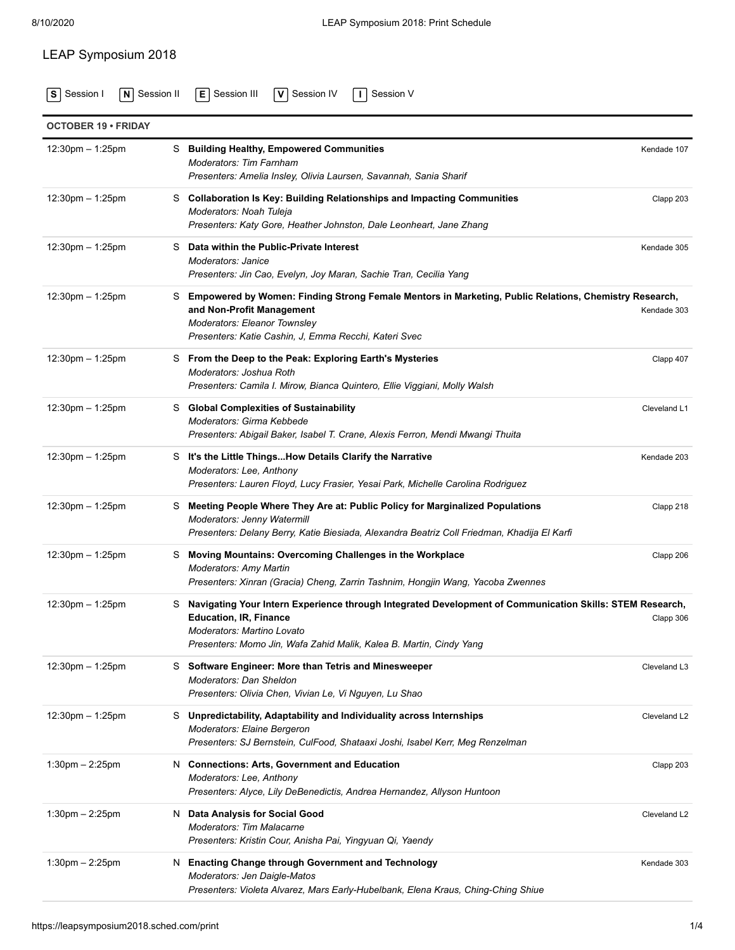## LEAP Symposium 2018

**S** [Session I](https://leapsymposium2018.sched.com/type/Session+I/print) **N** [Session II](https://leapsymposium2018.sched.com/type/Session+II/print) **E** [Session III](https://leapsymposium2018.sched.com/type/Session+III/print) **V** [Session IV](https://leapsymposium2018.sched.com/type/Session+IV/print) **I** [Session V](https://leapsymposium2018.sched.com/type/Session+V/print)

| <b>OCTOBER 19 · FRIDAY</b>         |                                                                                                                                                                                                                                                  |              |
|------------------------------------|--------------------------------------------------------------------------------------------------------------------------------------------------------------------------------------------------------------------------------------------------|--------------|
| $12:30 \text{pm} - 1:25 \text{pm}$ | S Building Healthy, Empowered Communities<br><b>Moderators: Tim Farnham</b><br>Presenters: Amelia Insley, Olivia Laursen, Savannah, Sania Sharif                                                                                                 | Kendade 107  |
| $12:30$ pm $-1:25$ pm              | S Collaboration Is Key: Building Relationships and Impacting Communities<br>Moderators: Noah Tuleja<br>Presenters: Katy Gore, Heather Johnston, Dale Leonheart, Jane Zhang                                                                       | Clapp 203    |
| $12:30 \text{pm} - 1:25 \text{pm}$ | S Data within the Public-Private Interest<br>Moderators: Janice<br>Presenters: Jin Cao, Evelyn, Joy Maran, Sachie Tran, Cecilia Yang                                                                                                             | Kendade 305  |
| 12:30pm - 1:25pm                   | S Empowered by Women: Finding Strong Female Mentors in Marketing, Public Relations, Chemistry Research,<br>and Non-Profit Management<br>Moderators: Eleanor Townsley<br>Presenters: Katie Cashin, J, Emma Recchi, Kateri Svec                    | Kendade 303  |
| $12:30$ pm $-1:25$ pm              | S From the Deep to the Peak: Exploring Earth's Mysteries<br>Moderators: Joshua Roth<br>Presenters: Camila I. Mirow, Bianca Quintero, Ellie Viggiani, Molly Walsh                                                                                 | Clapp 407    |
| $12:30$ pm $-1:25$ pm              | S Global Complexities of Sustainability<br>Moderators: Girma Kebbede<br>Presenters: Abigail Baker, Isabel T. Crane, Alexis Ferron, Mendi Mwangi Thuita                                                                                           | Cleveland L1 |
| $12:30$ pm $-1:25$ pm              | S It's the Little ThingsHow Details Clarify the Narrative<br>Moderators: Lee, Anthony<br>Presenters: Lauren Floyd, Lucy Frasier, Yesai Park, Michelle Carolina Rodriguez                                                                         | Kendade 203  |
| $12:30$ pm $-1:25$ pm              | S Meeting People Where They Are at: Public Policy for Marginalized Populations<br>Moderators: Jenny Watermill<br>Presenters: Delany Berry, Katie Biesiada, Alexandra Beatriz Coll Friedman, Khadija El Karfi                                     | Clapp 218    |
| 12:30pm - 1:25pm                   | Moving Mountains: Overcoming Challenges in the Workplace<br>S<br><b>Moderators: Amy Martin</b><br>Presenters: Xinran (Gracia) Cheng, Zarrin Tashnim, Hongjin Wang, Yacoba Zwennes                                                                | Clapp 206    |
| $12:30$ pm $-1:25$ pm              | S Navigating Your Intern Experience through Integrated Development of Communication Skills: STEM Research,<br><b>Education, IR, Finance</b><br>Moderators: Martino Lovato<br>Presenters: Momo Jin, Wafa Zahid Malik, Kalea B. Martin, Cindy Yang | Clapp 306    |
| $12:30$ pm $-1:25$ pm              | S Software Engineer: More than Tetris and Minesweeper<br>Moderators: Dan Sheldon<br>Presenters: Olivia Chen, Vivian Le, Vi Nguyen, Lu Shao                                                                                                       | Cleveland L3 |
| $12:30$ pm $-1:25$ pm              | S Unpredictability, Adaptability and Individuality across Internships<br>Moderators: Elaine Bergeron<br>Presenters: SJ Bernstein, CulFood, Shataaxi Joshi, Isabel Kerr, Meg Renzelman                                                            | Cleveland L2 |
| $1:30$ pm $- 2:25$ pm              | N Connections: Arts, Government and Education<br>Moderators: Lee, Anthony<br>Presenters: Alyce, Lily DeBenedictis, Andrea Hernandez, Allyson Huntoon                                                                                             | Clapp 203    |
| $1:30$ pm $-2:25$ pm               | N Data Analysis for Social Good<br><b>Moderators: Tim Malacarne</b><br>Presenters: Kristin Cour, Anisha Pai, Yingyuan Qi, Yaendy                                                                                                                 | Cleveland L2 |
| $1:30$ pm $- 2:25$ pm              | N Enacting Change through Government and Technology<br>Moderators: Jen Daigle-Matos<br>Presenters: Violeta Alvarez, Mars Early-Hubelbank, Elena Kraus, Ching-Ching Shiue                                                                         | Kendade 303  |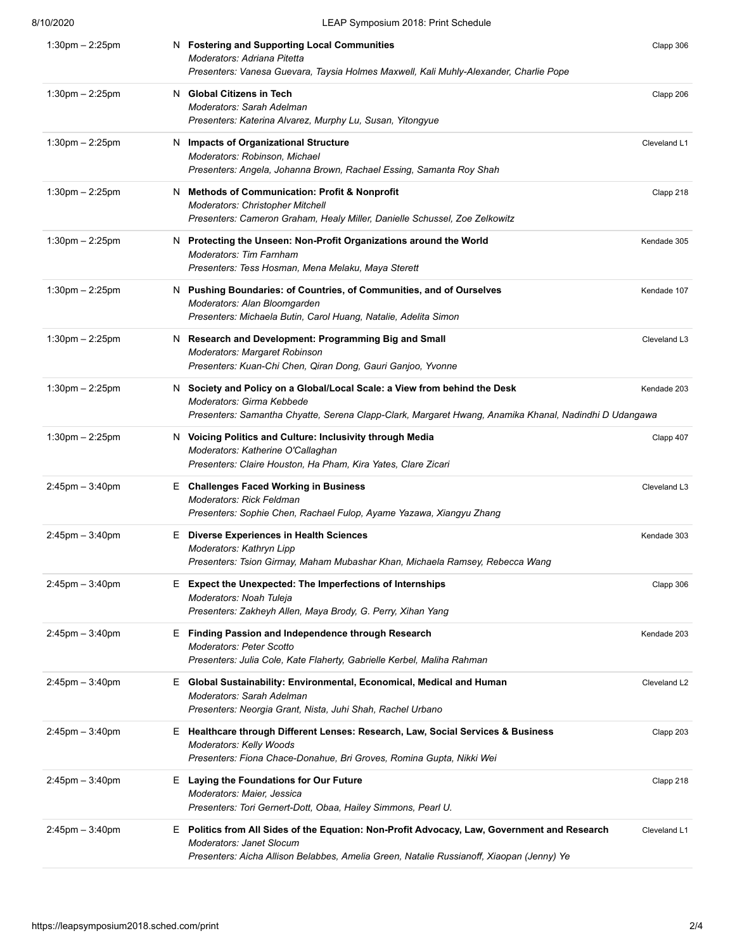| 8/10/2020             | LEAP Symposium 2018: Print Schedule                                                                                                                                                                                         |              |
|-----------------------|-----------------------------------------------------------------------------------------------------------------------------------------------------------------------------------------------------------------------------|--------------|
| $1:30$ pm $- 2:25$ pm | N Fostering and Supporting Local Communities<br>Moderators: Adriana Pitetta<br>Presenters: Vanesa Guevara, Taysia Holmes Maxwell, Kali Muhly-Alexander, Charlie Pope                                                        | Clapp 306    |
| $1:30$ pm $- 2:25$ pm | N Global Citizens in Tech<br>Moderators: Sarah Adelman<br>Presenters: Katerina Alvarez, Murphy Lu, Susan, Yitongyue                                                                                                         | Clapp 206    |
| $1:30$ pm $-2:25$ pm  | N Impacts of Organizational Structure<br>Moderators: Robinson, Michael<br>Presenters: Angela, Johanna Brown, Rachael Essing, Samanta Roy Shah                                                                               | Cleveland L1 |
| $1:30$ pm $-2:25$ pm  | N Methods of Communication: Profit & Nonprofit<br>Moderators: Christopher Mitchell<br>Presenters: Cameron Graham, Healy Miller, Danielle Schussel, Zoe Zelkowitz                                                            | Clapp 218    |
| $1:30$ pm $- 2:25$ pm | N Protecting the Unseen: Non-Profit Organizations around the World<br><b>Moderators: Tim Farnham</b><br>Presenters: Tess Hosman, Mena Melaku, Maya Sterett                                                                  | Kendade 305  |
| $1:30$ pm $-2:25$ pm  | Pushing Boundaries: of Countries, of Communities, and of Ourselves<br>N.<br>Moderators: Alan Bloomgarden<br>Presenters: Michaela Butin, Carol Huang, Natalie, Adelita Simon                                                 | Kendade 107  |
| $1:30$ pm $- 2:25$ pm | N Research and Development: Programming Big and Small<br>Moderators: Margaret Robinson<br>Presenters: Kuan-Chi Chen, Qiran Dong, Gauri Ganjoo, Yvonne                                                                       | Cleveland L3 |
| $1:30$ pm $- 2:25$ pm | N Society and Policy on a Global/Local Scale: a View from behind the Desk<br>Moderators: Girma Kebbede<br>Presenters: Samantha Chyatte, Serena Clapp-Clark, Margaret Hwang, Anamika Khanal, Nadindhi D Udangawa             | Kendade 203  |
| $1:30$ pm $-2:25$ pm  | N Voicing Politics and Culture: Inclusivity through Media<br>Moderators: Katherine O'Callaghan<br>Presenters: Claire Houston, Ha Pham, Kira Yates, Clare Zicari                                                             | Clapp 407    |
| $2:45$ pm $-3:40$ pm  | E Challenges Faced Working in Business<br><b>Moderators: Rick Feldman</b><br>Presenters: Sophie Chen, Rachael Fulop, Ayame Yazawa, Xiangyu Zhang                                                                            | Cleveland L3 |
| $2:45$ pm $-3:40$ pm  | E Diverse Experiences in Health Sciences<br>Moderators: Kathryn Lipp<br>Presenters: Tsion Girmay, Maham Mubashar Khan, Michaela Ramsey, Rebecca Wang                                                                        | Kendade 303  |
| $2:45$ pm $-3:40$ pm  | <b>Expect the Unexpected: The Imperfections of Internships</b><br>Е.<br>Moderators: Noah Tuleja<br>Presenters: Zakheyh Allen, Maya Brody, G. Perry, Xihan Yang                                                              | Clapp 306    |
| $2:45$ pm $-3:40$ pm  | E Finding Passion and Independence through Research<br><b>Moderators: Peter Scotto</b><br>Presenters: Julia Cole, Kate Flaherty, Gabrielle Kerbel, Maliha Rahman                                                            | Kendade 203  |
| $2:45$ pm $-3:40$ pm  | E Global Sustainability: Environmental, Economical, Medical and Human<br>Moderators: Sarah Adelman<br>Presenters: Neorgia Grant, Nista, Juhi Shah, Rachel Urbano                                                            | Cleveland L2 |
| $2:45$ pm $-3:40$ pm  | E Healthcare through Different Lenses: Research, Law, Social Services & Business<br><b>Moderators: Kelly Woods</b><br>Presenters: Fiona Chace-Donahue, Bri Groves, Romina Gupta, Nikki Wei                                  | Clapp 203    |
| $2:45$ pm $-3:40$ pm  | E Laying the Foundations for Our Future<br>Moderators: Maier, Jessica<br>Presenters: Tori Gernert-Dott, Obaa, Hailey Simmons, Pearl U.                                                                                      | Clapp 218    |
| $2:45$ pm $-3:40$ pm  | E Politics from All Sides of the Equation: Non-Profit Advocacy, Law, Government and Research<br><b>Moderators: Janet Slocum</b><br>Presenters: Aicha Allison Belabbes, Amelia Green, Natalie Russianoff, Xiaopan (Jenny) Ye | Cleveland L1 |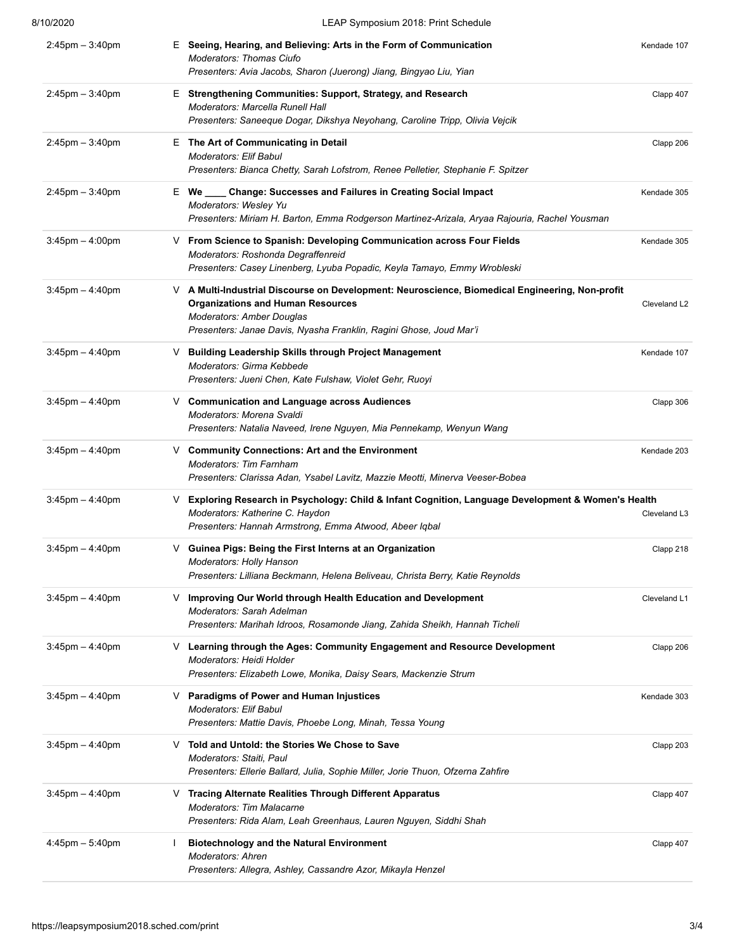| 8/10/2020            | LEAP Symposium 2018: Print Schedule                                                                                                                                                                                                                   |              |
|----------------------|-------------------------------------------------------------------------------------------------------------------------------------------------------------------------------------------------------------------------------------------------------|--------------|
| $2:45$ pm $-3:40$ pm | E Seeing, Hearing, and Believing: Arts in the Form of Communication<br><b>Moderators: Thomas Ciufo</b><br>Presenters: Avia Jacobs, Sharon (Juerong) Jiang, Bingyao Liu, Yian                                                                          | Kendade 107  |
| $2:45$ pm $-3:40$ pm | E Strengthening Communities: Support, Strategy, and Research<br><b>Moderators: Marcella Runell Hall</b><br>Presenters: Saneeque Dogar, Dikshya Neyohang, Caroline Tripp, Olivia Vejcik                                                                | Clapp 407    |
| $2:45$ pm $-3:40$ pm | E The Art of Communicating in Detail<br>Moderators: Elif Babul<br>Presenters: Bianca Chetty, Sarah Lofstrom, Renee Pelletier, Stephanie F. Spitzer                                                                                                    | Clapp 206    |
| $2:45$ pm $-3:40$ pm | E We ____ Change: Successes and Failures in Creating Social Impact<br>Moderators: Wesley Yu<br>Presenters: Miriam H. Barton, Emma Rodgerson Martinez-Arizala, Aryaa Rajouria, Rachel Yousman                                                          | Kendade 305  |
| $3:45$ pm $-4:00$ pm | V From Science to Spanish: Developing Communication across Four Fields<br>Moderators: Roshonda Degraffenreid<br>Presenters: Casey Linenberg, Lyuba Popadic, Keyla Tamayo, Emmy Wrobleski                                                              | Kendade 305  |
| $3:45$ pm $-4:40$ pm | V A Multi-Industrial Discourse on Development: Neuroscience, Biomedical Engineering, Non-profit<br><b>Organizations and Human Resources</b><br><b>Moderators: Amber Douglas</b><br>Presenters: Janae Davis, Nyasha Franklin, Ragini Ghose, Joud Mar'i | Cleveland L2 |
| $3:45$ pm $-4:40$ pm | V Building Leadership Skills through Project Management<br>Moderators: Girma Kebbede<br>Presenters: Jueni Chen, Kate Fulshaw, Violet Gehr, Ruoyi                                                                                                      | Kendade 107  |
| $3:45$ pm $-4:40$ pm | V Communication and Language across Audiences<br>Moderators: Morena Svaldi<br>Presenters: Natalia Naveed, Irene Nguyen, Mia Pennekamp, Wenyun Wang                                                                                                    | Clapp 306    |
| $3:45$ pm $-4:40$ pm | V Community Connections: Art and the Environment<br><b>Moderators: Tim Farnham</b><br>Presenters: Clarissa Adan, Ysabel Lavitz, Mazzie Meotti, Minerva Veeser-Bobea                                                                                   | Kendade 203  |
| $3:45$ pm $-4:40$ pm | Exploring Research in Psychology: Child & Infant Cognition, Language Development & Women's Health<br>V.<br>Moderators: Katherine C. Haydon<br>Presenters: Hannah Armstrong, Emma Atwood, Abeer Iqbal                                                  | Cleveland L3 |
| $3:45$ pm $-4:40$ pm | V Guinea Pigs: Being the First Interns at an Organization<br>Moderators: Holly Hanson<br>Presenters: Lilliana Beckmann, Helena Beliveau, Christa Berry, Katie Reynolds                                                                                | Clapp 218    |
| $3:45$ pm $-4:40$ pm | ∨ Improving Our World through Health Education and Development<br>Moderators: Sarah Adelman<br>Presenters: Marihah Idroos, Rosamonde Jiang, Zahida Sheikh, Hannah Ticheli                                                                             | Cleveland L1 |
| $3:45$ pm $-4:40$ pm | ∨ Learning through the Ages: Community Engagement and Resource Development<br>Moderators: Heidi Holder<br>Presenters: Elizabeth Lowe, Monika, Daisy Sears, Mackenzie Strum                                                                            | Clapp 206    |
| $3:45$ pm $-4:40$ pm | V Paradigms of Power and Human Injustices<br>Moderators: Elif Babul<br>Presenters: Mattie Davis, Phoebe Long, Minah, Tessa Young                                                                                                                      | Kendade 303  |
| $3:45$ pm $-4:40$ pm | ∨ Told and Untold: the Stories We Chose to Save<br>Moderators: Staiti, Paul<br>Presenters: Ellerie Ballard, Julia, Sophie Miller, Jorie Thuon, Ofzerna Zahfire                                                                                        | Clapp 203    |
| $3:45$ pm $-4:40$ pm | <b>Tracing Alternate Realities Through Different Apparatus</b><br>V.<br><b>Moderators: Tim Malacarne</b><br>Presenters: Rida Alam, Leah Greenhaus, Lauren Nguyen, Siddhi Shah                                                                         | Clapp 407    |
| $4:45$ pm $-5:40$ pm | <b>Biotechnology and the Natural Environment</b><br>Moderators: Ahren<br>Presenters: Allegra, Ashley, Cassandre Azor, Mikayla Henzel                                                                                                                  | Clapp 407    |